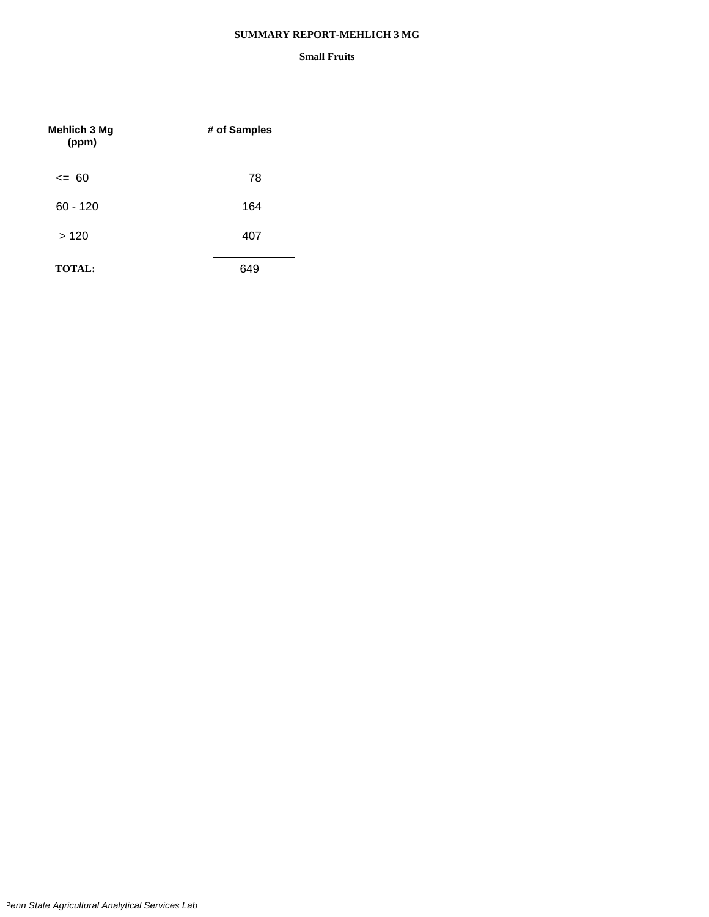#### **SUMMARY REPORT-MEHLICH 3 MG**

| <b>Mehlich 3 Mg</b><br>(ppm) | # of Samples |
|------------------------------|--------------|
| $\leq$ 60                    | 78           |
| $60 - 120$                   | 164          |
| >120                         | 407          |
| <b>TOTAL:</b>                | 649          |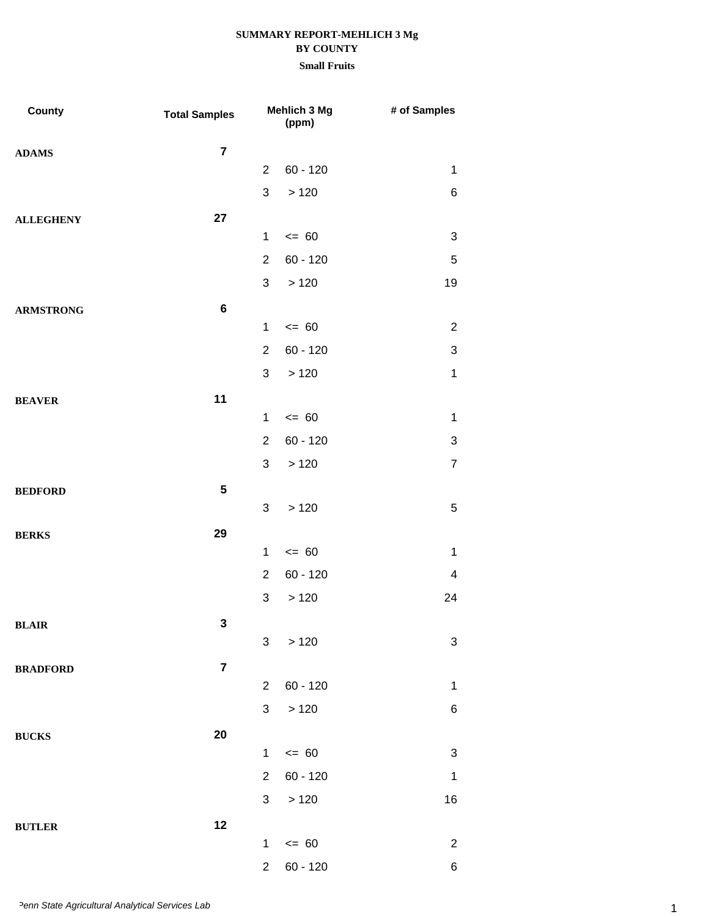| County           | <b>Total Samples</b> |                | Mehlich 3 Mg<br>(ppm) | # of Samples              |
|------------------|----------------------|----------------|-----------------------|---------------------------|
| <b>ADAMS</b>     | $\overline{7}$       |                |                       |                           |
|                  |                      | $\overline{2}$ | $60 - 120$            | $\mathbf 1$               |
|                  |                      | $\mathfrak{S}$ | >120                  | 6                         |
| <b>ALLEGHENY</b> | 27                   |                |                       |                           |
|                  |                      | $\mathbf 1$    | $= 60$                | 3                         |
|                  |                      | $\overline{2}$ | $60 - 120$            | $\mathbf 5$               |
|                  |                      | 3              | >120                  | 19                        |
| <b>ARMSTRONG</b> | $\bf 6$              |                |                       |                           |
|                  |                      | $\mathbf 1$    | $= 60$                | $\overline{2}$            |
|                  |                      | $\overline{2}$ | $60 - 120$            | $\ensuremath{\mathsf{3}}$ |
|                  |                      | 3              | >120                  | $\mathbf 1$               |
| <b>BEAVER</b>    | 11                   |                |                       |                           |
|                  |                      | $\mathbf 1$    | $= 60$                | $\mathbf 1$               |
|                  |                      | $\overline{2}$ | $60 - 120$            | $\sqrt{3}$                |
|                  |                      | 3              | >120                  | $\overline{7}$            |
| <b>BEDFORD</b>   | ${\bf 5}$            |                |                       |                           |
|                  |                      | 3              | >120                  | $\mathbf 5$               |
| <b>BERKS</b>     | 29                   |                |                       |                           |
|                  |                      | $\mathbf{1}$   | $= 60$                | $\mathbf 1$               |
|                  |                      | $\overline{2}$ | $60 - 120$            | $\overline{4}$            |
|                  |                      | $\mathfrak{S}$ | >120                  | 24                        |
| <b>BLAIR</b>     | $\mathbf 3$          |                |                       |                           |
|                  |                      | 3              | >120                  | 3                         |
| <b>BRADFORD</b>  | $\overline{7}$       | $\overline{2}$ | $60 - 120$            | 1                         |
|                  |                      | 3              | >120                  | $\,6$                     |
|                  |                      |                |                       |                           |
| <b>BUCKS</b>     | 20                   | $\mathbf{1}$   | $= 60$                | $\sqrt{3}$                |
|                  |                      | $\overline{2}$ | $60 - 120$            | $\mathbf 1$               |
|                  |                      | $\mathbf{3}$   | >120                  | 16                        |
|                  | 12                   |                |                       |                           |
| <b>BUTLER</b>    |                      | $\mathbf{1}$   | $\leq$ 60             | $\overline{2}$            |
|                  |                      | $\overline{2}$ | $60 - 120$            | $\,6\,$                   |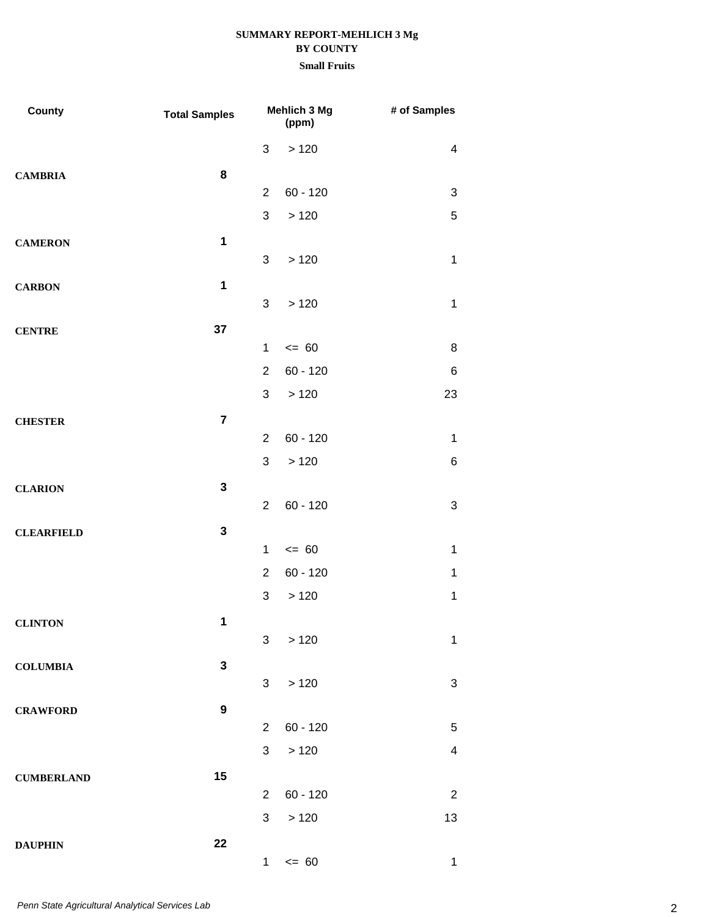| County            | <b>Total Samples</b> |                | Mehlich 3 Mg<br>(ppm) | # of Samples              |
|-------------------|----------------------|----------------|-----------------------|---------------------------|
|                   |                      | 3              | >120                  | $\overline{4}$            |
| <b>CAMBRIA</b>    | 8                    |                |                       |                           |
|                   |                      | $\overline{2}$ | $60 - 120$            | 3                         |
|                   |                      | 3              | >120                  | 5                         |
| <b>CAMERON</b>    | $\mathbf 1$          |                |                       |                           |
|                   |                      | 3              | >120                  | $\mathbf 1$               |
| <b>CARBON</b>     | $\mathbf{1}$         |                |                       |                           |
|                   |                      | 3              | >120                  | $\mathbf 1$               |
| <b>CENTRE</b>     | 37                   |                |                       |                           |
|                   |                      | $\mathbf 1$    | $= 60$                | 8                         |
|                   |                      | $\overline{2}$ | $60 - 120$            | $\,6$                     |
|                   |                      | 3              | >120                  | 23                        |
| <b>CHESTER</b>    | $\overline{7}$       |                |                       |                           |
|                   |                      | $\overline{2}$ | $60 - 120$            | $\mathbf 1$               |
|                   |                      | 3              | >120                  | 6                         |
| <b>CLARION</b>    | $\mathbf{3}$         |                |                       |                           |
|                   |                      | $\overline{2}$ | $60 - 120$            | $\ensuremath{\mathsf{3}}$ |
| <b>CLEARFIELD</b> | $\mathbf 3$          |                |                       |                           |
|                   |                      | $\mathbf 1$    | $= 60$                | $\mathbf 1$               |
|                   |                      | $\overline{2}$ | $60 - 120$            | $\mathbf 1$               |
|                   |                      | $\sqrt{3}$     | >120                  | $\mathbf 1$               |
| <b>CLINTON</b>    | 1                    |                |                       |                           |
|                   |                      | 3              | >120                  | $\mathbf 1$               |
| <b>COLUMBIA</b>   | $\mathbf{3}$         |                |                       |                           |
|                   |                      | 3              | >120                  | 3                         |
| <b>CRAWFORD</b>   | $\boldsymbol{9}$     |                |                       |                           |
|                   |                      | $\overline{2}$ | $60 - 120$            | $\mathbf 5$               |
|                   |                      | 3              | >120                  | $\overline{\mathbf{4}}$   |
| <b>CUMBERLAND</b> | 15                   |                |                       |                           |
|                   |                      | $\overline{2}$ | $60 - 120$            | $\overline{2}$            |
|                   |                      | 3              | >120                  | 13                        |
| <b>DAUPHIN</b>    | 22                   |                |                       |                           |
|                   |                      | 1              | $\leq$ 60             | $\mathbf 1$               |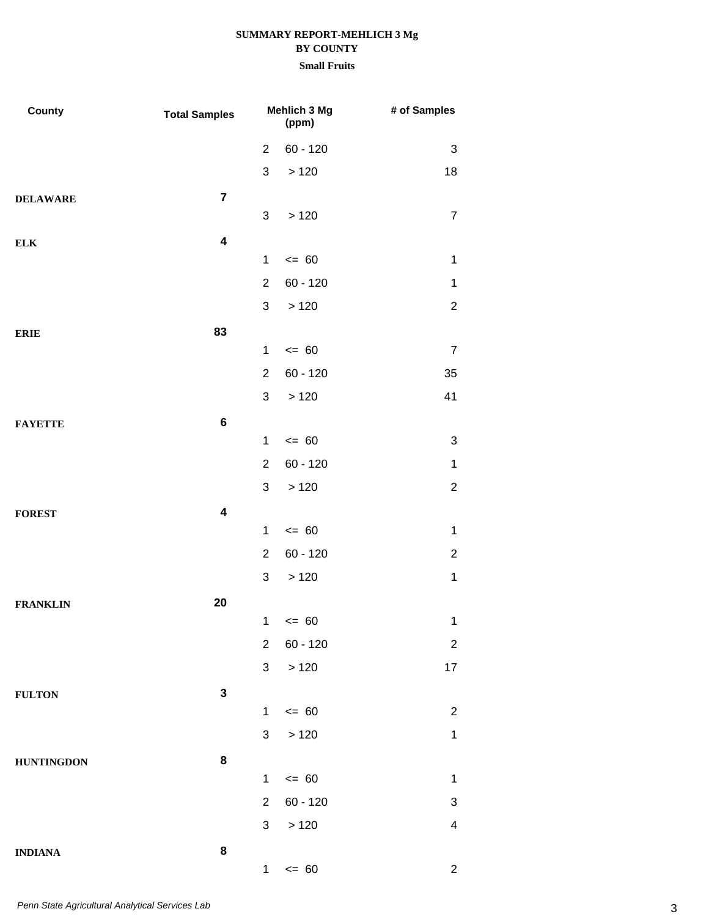| County            | <b>Total Samples</b>    | Mehlich 3 Mg<br>(ppm) |            | # of Samples   |
|-------------------|-------------------------|-----------------------|------------|----------------|
|                   |                         | $\overline{2}$        | $60 - 120$ | 3              |
|                   |                         | $\mathfrak{S}$        | >120       | 18             |
| <b>DELAWARE</b>   | $\overline{7}$          |                       |            |                |
|                   |                         | 3                     | >120       | $\overline{7}$ |
| ${\bf ELK}$       | $\overline{\mathbf{4}}$ |                       |            |                |
|                   |                         | $\mathbf{1}$          | $= 60$     | $\mathbf 1$    |
|                   |                         | $\overline{2}$        | $60 - 120$ | $\mathbf{1}$   |
|                   |                         | 3                     | >120       | $\overline{2}$ |
| <b>ERIE</b>       | 83                      |                       |            |                |
|                   |                         | $\mathbf 1$           | $= 60$     | $\overline{7}$ |
|                   |                         | $\overline{2}$        | $60 - 120$ | 35             |
|                   |                         | 3                     | >120       | 41             |
| <b>FAYETTE</b>    | 6                       |                       |            |                |
|                   |                         | $\mathbf{1}$          | $= 60$     | 3              |
|                   |                         | $\overline{2}$        | $60 - 120$ | $\mathbf{1}$   |
|                   |                         | 3                     | >120       | $\overline{2}$ |
| <b>FOREST</b>     | $\overline{\mathbf{4}}$ |                       |            |                |
|                   |                         | $\mathbf{1}$          | $= 60$     | $\mathbf 1$    |
|                   |                         | $\overline{2}$        | $60 - 120$ | $\overline{c}$ |
|                   |                         | $\mathfrak{S}$        | >120       | $\mathbf 1$    |
| <b>FRANKLIN</b>   | 20                      |                       |            |                |
|                   |                         |                       | $1 \le 60$ | $\mathbf{1}$   |
|                   |                         | $\overline{2}$        | $60 - 120$ | $\overline{c}$ |
|                   |                         | $\sqrt{3}$            | $>120$     | 17             |
| <b>FULTON</b>     | $\mathbf 3$             |                       |            |                |
|                   |                         | $\mathbf{1}$          | $= 60$     | $\overline{2}$ |
|                   |                         | $\mathbf{3}$          | $>120$     | $\mathbf{1}$   |
| <b>HUNTINGDON</b> | 8                       |                       |            |                |
|                   |                         | $\mathbf{1}$          | $= 60$     | $\mathbf{1}$   |
|                   |                         | $\overline{2}$        | $60 - 120$ | 3              |
|                   |                         | 3                     | >120       | 4              |
| <b>INDIANA</b>    | 8                       |                       |            |                |
|                   |                         | 1                     | $\leq$ 60  | $\overline{2}$ |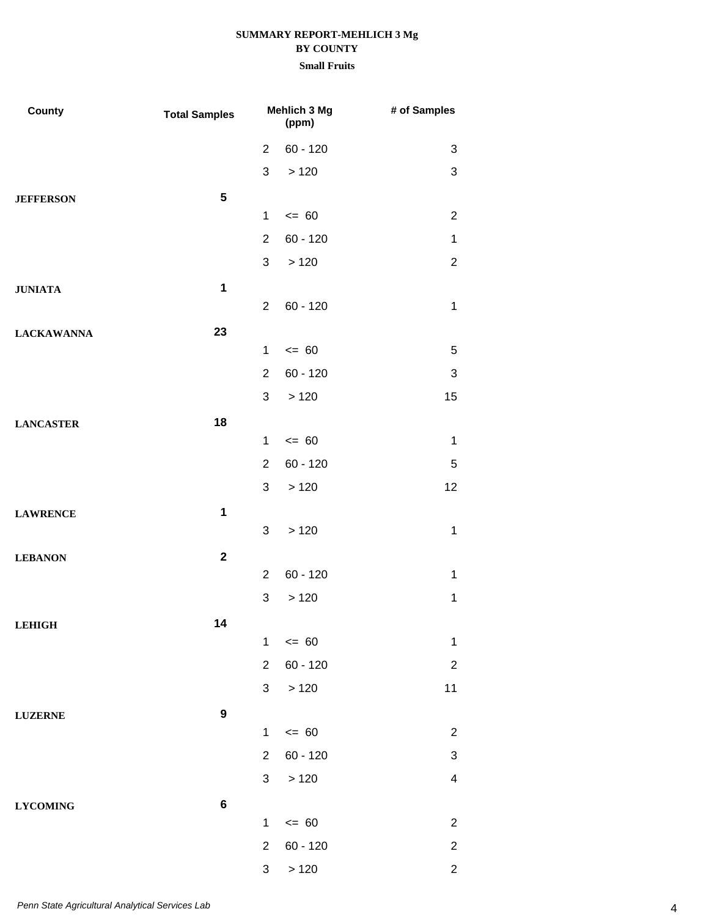| County            | <b>Total Samples</b> |                | <b>Mehlich 3 Mg</b><br>(ppm) | # of Samples              |
|-------------------|----------------------|----------------|------------------------------|---------------------------|
|                   |                      | $\overline{2}$ | $60 - 120$                   | $\sqrt{3}$                |
|                   |                      | 3              | >120                         | $\sqrt{3}$                |
| <b>JEFFERSON</b>  | $5\phantom{.0}$      |                |                              |                           |
|                   |                      | $\mathbf 1$    | $= 60$                       | $\overline{2}$            |
|                   |                      | $\overline{2}$ | $60 - 120$                   | $\mathbf 1$               |
|                   |                      | 3              | >120                         | $\sqrt{2}$                |
| <b>JUNIATA</b>    | $\mathbf{1}$         |                |                              |                           |
|                   |                      | $\overline{2}$ | $60 - 120$                   | $\mathbf 1$               |
| <b>LACKAWANNA</b> | 23                   |                |                              |                           |
|                   |                      | $\mathbf 1$    | $= 60$                       | 5                         |
|                   |                      | $\overline{2}$ | $60 - 120$                   | $\sqrt{3}$                |
|                   |                      | 3              | >120                         | 15                        |
| <b>LANCASTER</b>  | 18                   |                |                              |                           |
|                   |                      | $\mathbf 1$    | $= 60$                       | $\mathbf 1$               |
|                   |                      | $\overline{2}$ | $60 - 120$                   | 5                         |
|                   |                      | 3              | >120                         | 12                        |
| <b>LAWRENCE</b>   | $\mathbf 1$          |                |                              |                           |
|                   |                      | 3              | >120                         | 1                         |
| <b>LEBANON</b>    | $\mathbf{2}$         |                |                              |                           |
|                   |                      | $\overline{2}$ | $60 - 120$                   | 1                         |
|                   |                      | 3              | >120                         | 1                         |
| <b>LEHIGH</b>     | 14                   |                |                              |                           |
|                   |                      | $\mathbf{1}$   | $\leq$ 60                    | $\mathbf 1$               |
|                   |                      | $\overline{2}$ | $60 - 120$                   | $\overline{c}$            |
|                   |                      | 3              | >120                         | 11                        |
| <b>LUZERNE</b>    | $\boldsymbol{9}$     |                |                              |                           |
|                   |                      | $\mathbf 1$    | $\leq$ 60                    | $\overline{2}$            |
|                   |                      | $\overline{2}$ | $60 - 120$                   | $\ensuremath{\mathsf{3}}$ |
|                   |                      | 3              | >120                         | $\overline{4}$            |
| <b>LYCOMING</b>   | $\bf 6$              |                |                              |                           |
|                   |                      | $\mathbf{1}$   | $\leq$ 60                    | $\overline{2}$            |
|                   |                      | $\overline{2}$ | $60 - 120$                   | $\overline{c}$            |
|                   |                      | $\mathbf{3}$   | >120                         | $\mathbf{2}$              |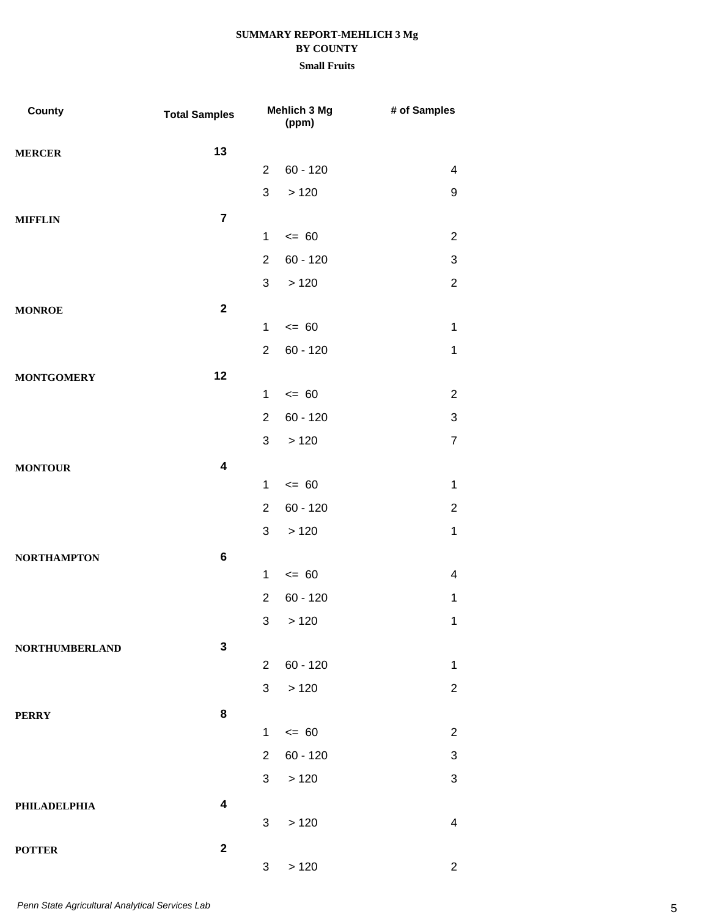| County                | <b>Total Samples</b>    |                | Mehlich 3 Mg<br>(ppm) | # of Samples     |
|-----------------------|-------------------------|----------------|-----------------------|------------------|
| <b>MERCER</b>         | 13                      |                |                       |                  |
|                       |                         | $\overline{2}$ | $60 - 120$            | $\overline{4}$   |
|                       |                         | 3              | >120                  | $\boldsymbol{9}$ |
| <b>MIFFLIN</b>        | $\overline{7}$          |                |                       |                  |
|                       |                         | $\mathbf{1}$   | $= 60$                | $\overline{2}$   |
|                       |                         | $\overline{2}$ | $60 - 120$            | 3                |
|                       |                         | 3              | >120                  | $\overline{2}$   |
| <b>MONROE</b>         | $\mathbf{2}$            |                |                       |                  |
|                       |                         | $\mathbf{1}$   | $= 60$                | $\mathbf 1$      |
|                       |                         | $\overline{2}$ | $60 - 120$            | 1                |
| <b>MONTGOMERY</b>     | 12                      |                |                       |                  |
|                       |                         | $\mathbf{1}$   | $= 60$                | $\overline{2}$   |
|                       |                         | $\overline{2}$ | $60 - 120$            | 3                |
|                       |                         | 3              | >120                  | $\overline{7}$   |
| <b>MONTOUR</b>        | $\overline{\mathbf{4}}$ |                |                       |                  |
|                       |                         | $\mathbf{1}$   | $= 60$                | 1                |
|                       |                         | $\overline{2}$ | $60 - 120$            | $\overline{2}$   |
|                       |                         | 3              | >120                  | $\mathbf 1$      |
| <b>NORTHAMPTON</b>    | $\bf 6$                 |                |                       |                  |
|                       |                         | $\mathbf{1}$   | $= 60$                | 4                |
|                       |                         | $\overline{2}$ | $60 - 120$            | $\mathbf 1$      |
|                       |                         |                | 3 > 120               | $\mathbf{1}$     |
| <b>NORTHUMBERLAND</b> | $\mathbf{3}$            |                |                       |                  |
|                       |                         | $2^{\circ}$    | $60 - 120$            | $\mathbf 1$      |
|                       |                         | 3              | $>120$                | $\overline{c}$   |
| <b>PERRY</b>          | 8                       |                |                       |                  |
|                       |                         | $\mathbf{1}$   | $\leq$ 60             | $\overline{c}$   |
|                       |                         | $\overline{2}$ | $60 - 120$            | 3                |
|                       |                         | 3 <sup>1</sup> | >120                  | 3                |
| PHILADELPHIA          | $\overline{\mathbf{4}}$ |                |                       |                  |
|                       |                         | 3              | >120                  | $\overline{4}$   |
| <b>POTTER</b>         | $\mathbf 2$             | $\mathbf{3}$   | >120                  | $\overline{2}$   |
|                       |                         |                |                       |                  |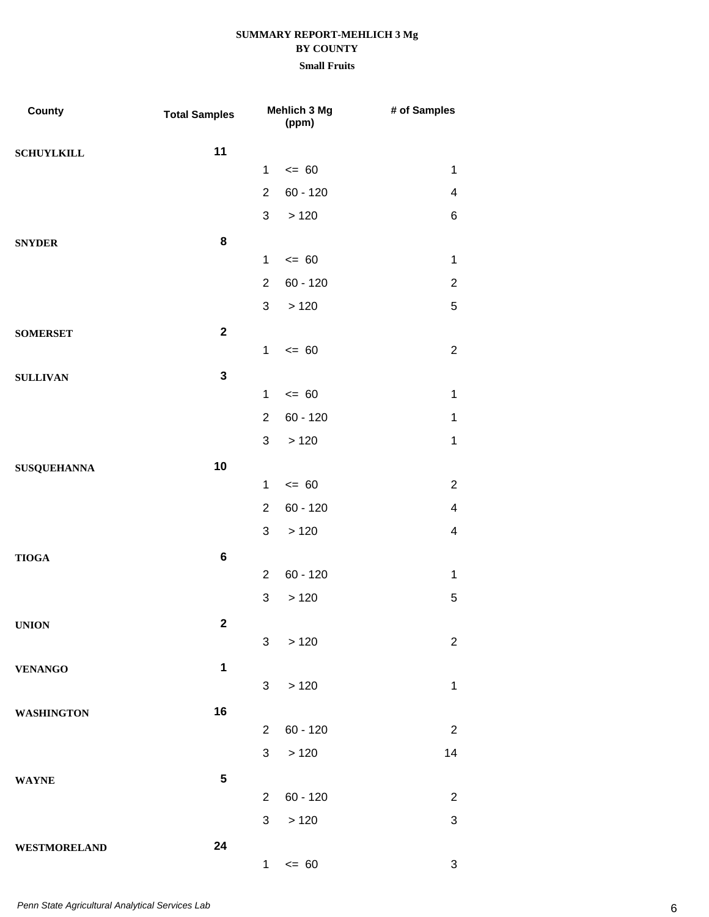| County              | <b>Total Samples</b> |                | Mehlich 3 Mg<br>(ppm) | # of Samples            |
|---------------------|----------------------|----------------|-----------------------|-------------------------|
| <b>SCHUYLKILL</b>   | 11                   |                |                       |                         |
|                     |                      | 1              | $= 60$                | $\mathbf{1}$            |
|                     |                      | $\overline{2}$ | $60 - 120$            | $\overline{\mathbf{4}}$ |
|                     |                      | $\mathfrak{S}$ | >120                  | 6                       |
| <b>SNYDER</b>       | 8                    |                |                       |                         |
|                     |                      | $\mathbf{1}$   | $= 60$                | $\mathbf 1$             |
|                     |                      | $\overline{2}$ | $60 - 120$            | $\overline{c}$          |
|                     |                      | 3              | >120                  | 5                       |
| <b>SOMERSET</b>     | $\mathbf{2}$         |                |                       |                         |
|                     |                      | 1              | $= 60$                | $\overline{2}$          |
| <b>SULLIVAN</b>     | $\mathbf{3}$         |                |                       |                         |
|                     |                      | $\mathbf{1}$   | $= 60$                | $\mathbf{1}$            |
|                     |                      | $\overline{2}$ | $60 - 120$            | $\mathbf{1}$            |
|                     |                      | 3              | >120                  | $\mathbf 1$             |
| <b>SUSQUEHANNA</b>  | 10                   |                |                       |                         |
|                     |                      | $\mathbf{1}$   | $= 60$                | $\overline{c}$          |
|                     |                      | $\overline{2}$ | $60 - 120$            | $\overline{\mathbf{4}}$ |
|                     |                      | 3              | >120                  | $\overline{\mathbf{4}}$ |
| <b>TIOGA</b>        | $\bf 6$              |                |                       |                         |
|                     |                      | $\overline{2}$ | $60 - 120$            | $\mathbf{1}$            |
|                     |                      | 3              | >120                  | 5                       |
| <b>UNION</b>        | $\mathbf 2$          |                |                       |                         |
|                     |                      | 3              | >120                  | $\overline{2}$          |
| <b>VENANGO</b>      | $\ddot{\mathbf{1}}$  |                |                       |                         |
|                     |                      | 3 <sup>1</sup> | >120                  | $\mathbf{1}$            |
| <b>WASHINGTON</b>   | 16                   |                |                       |                         |
|                     |                      | $\overline{2}$ | $60 - 120$            | $\overline{2}$          |
|                     |                      | 3              | >120                  | 14                      |
| <b>WAYNE</b>        | ${\bf 5}$            |                |                       |                         |
|                     |                      | $\overline{2}$ | $60 - 120$            | $\overline{2}$          |
|                     |                      | 3              | $>120$                | 3                       |
| <b>WESTMORELAND</b> | 24                   |                |                       |                         |
|                     |                      | $\mathbf{1}$   | $\leq$ 60             | 3                       |